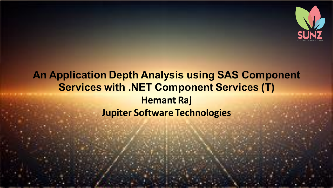

#### **An Application Depth Analysis using SAS Component Services with .NET Component Services (T) Hemant Raj Jupiter Software Technologies**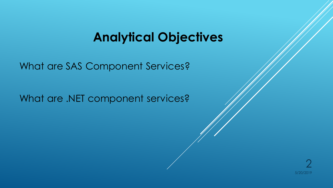## **Analytical Objectives**

What are SAS Component Services?

What are .NET component services?

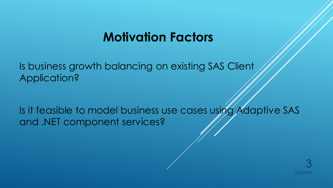## **Motivation Factors**

Is business growth balancing on existing SAS Client Application?

Is it feasible to model business use cases using Adaptive SAS and .NET component services?

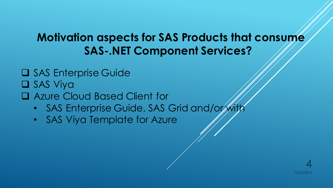### **Motivation aspects for SAS Products that consume SAS-.NET Component Services?**

- ❑ SAS Enterprise Guide
- ❑ SAS Viya
- ❑ Azure Cloud Based Client for
	- SAS Enterprise Guide, SAS Grid and/or with
	- SAS Viya Template for Azure

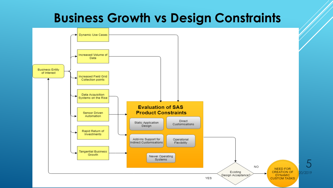## **Business Growth vs Design Constraints**

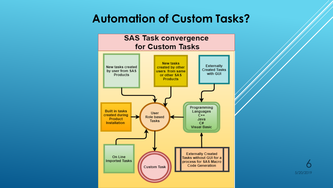### **Automation of Custom Tasks?**



5/20/2019 6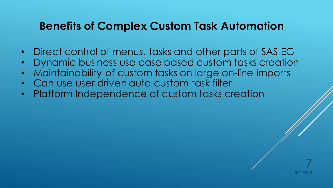#### **Benefits of Complex Custom Task Automation**

- Direct control of menus, tasks and other parts of SAS EG
- Dynamic business use case based custom tasks creation
- Maintainability of custom tasks on large on-line imports
- Can use user driven auto custom task filter
- Platform Independence of custom tasks creation

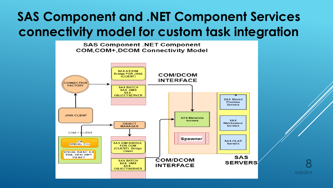# **SAS Component and .NET Component Services connectivity model for custom task integration**

**SAS Component .NET Component COM, COM+, DCOM Connectivity Model** 



5/20/2019 8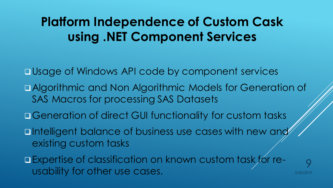# **Platform Independence of Custom Cask using .NET Component Services**

❑Usage of Windows API code by component services

- ❑Algorithmic and Non Algorithmic Models for Generation of SAS Macros for processing SAS Datasets
- □Generation of direct GUI functionality for custom tasks
- untelligent balance of business use cases with new and existing custom tasks
- ❑Expertise of classification on known custom task for reusability for other use cases.

5/20/2019

9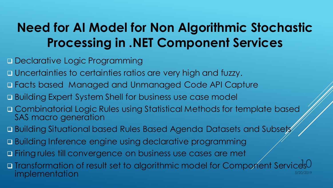# **Need for AI Model for Non Algorithmic Stochastic Processing in .NET Component Services**

- □ Declarative Logic Programming
- ❑ Uncertainties to certainties ratios are very high and fuzzy.
- ❑ Facts based Managed and Unmanaged Code API Capture
- □ Building Expert System Shell for business use case model
- □ Combinatorial Logic Rules using Statistical Methods for template based SAS macro generation
- □ Building Situational based Rules Based Agenda Datasets and Subsets
- □ Building Inference engine using declarative programming
- ❑ Firing rules till convergence on business use cases are met
- □ Transformation of result set to algorithmic model for Component Services0 implementation 5/20/2019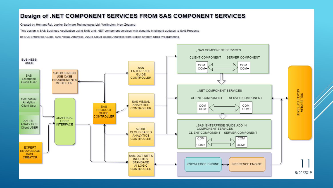#### Design of .NET COMPONENT SERVICES FROM SAS COMPONENT SERVICES

Created by Hemant Raj, Jupiter Software Technologies Ltd, Wellington, New Zealand

This design is SAS Business Application using SAS and .NET component services with dynamic intelligent updates to SAS Products

of SAS Enterprise Guide, SAS Visual Analytics, Azure Cloud Based Analytics from Expert System Shell Programming

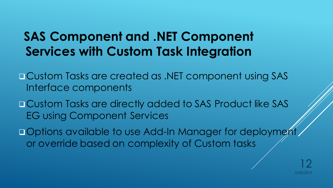# **SAS Component and .NET Component Services with Custom Task Integration**

❑Custom Tasks are created as .NET component using SAS Interface components

❑Custom Tasks are directly added to SAS Product like SAS EG using Component Services

□ Options available to use Add-In Manager for deployment or override based on complexity of Custom tasks

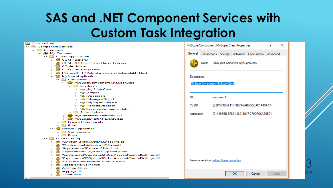# **SAS and .NET Component Services with Custom Task Integration**

|            | <b>Console Root</b>                                                     |
|------------|-------------------------------------------------------------------------|
|            | $\vee$ $\bullet$ Component Services                                     |
|            | $\vee$ $\Box$ Computers                                                 |
|            | $\vee$ $\blacksquare$ My Computer                                       |
|            | $\vee$ $\Box$ COM+ Applications                                         |
|            | > <a> COM+ Explorer</a>                                                 |
|            | <a> △ COM+ QC Dead Letter Queue Listener</a>                            |
|            | $\sum$ $\blacksquare$ COM+ Utilities                                    |
|            | $\frac{1}{2}$ COM+ Utilities (32 bit)                                   |
|            | $>$ $\triangleq$ Microsoft FTP Publishing Service Extensibility Host    |
|            | $\vee$ <sup>2</sup> MySuperApplication                                  |
|            | $\vee$ $\Box$ Components                                                |
|            | MySuperComponent.MySuperClass                                           |
|            | $\vee$ $\Box$ Interfaces                                                |
|            | > -@ _MySuperClass                                                      |
|            | > <b>-@</b> _Object                                                     |
|            | > en IDisposable                                                        |
|            | > <del>.</del> IManagedObject                                           |
|            | > . IMySuperInterface                                                   |
|            | > a IRemoteDispatch                                                     |
|            | > . ServicedComponentInfo                                               |
|            | $>$ Subscriptions                                                       |
|            | > < MySuperEvent.MyEventClass                                           |
|            | > <> MySuperEvent.MyEventClass                                          |
|            | $>$ Legacy Components                                                   |
|            | $>$ Roles                                                               |
|            | System Application                                                      |
|            | $\sum$ Components                                                       |
|            | $>$ $\Box$ Roles                                                        |
|            | $\vee$ $\Box$ DCOM Config                                               |
|            | > <a> %SystemRoot%\system32\appwiz.cpl</a>                              |
|            | > 음 %SystemRoot%\System32\fveui.dll                                     |
|            | > ● %systemroot%\system32\intl.cpl                                      |
|            | > 쓸 %systemroot%\system32\lpksetup.exe                                  |
|            | ॑ %systemroot%\System32\UserAccountControlSettings.dll<br>$\rightarrow$ |
|            | <aeth>%systemroot%\System32\UserAccountControlSettings.dll</aeth>       |
|            | ● 32-bit Preview Handler Surrogate Host                                 |
|            | <b>鲁 AccessibilityCplAdmin</b><br>$\rightarrow$                         |
|            | > 鲁 AccStore Class                                                      |
|            | acppage.dll                                                             |
|            | <b>当 AcroBroker</b>                                                     |
| $\epsilon$ |                                                                         |

**El Canada Past** 

| 7<br>MySuperComponent.MySuperClass Properties<br>× |  |                                        |             |                                  |             |          |  |  |  |
|----------------------------------------------------|--|----------------------------------------|-------------|----------------------------------|-------------|----------|--|--|--|
| General                                            |  |                                        |             | Transactions Security Activation | Concurrency | Advanced |  |  |  |
| Name: MySuperComponent.MySuperClass                |  |                                        |             |                                  |             |          |  |  |  |
| Description:                                       |  |                                        |             |                                  |             |          |  |  |  |
| MySuperComponent.MySuperClass                      |  |                                        |             |                                  |             |          |  |  |  |
| DLL:                                               |  |                                        | mscoree.dll |                                  |             |          |  |  |  |
| CLSID:                                             |  | {E3D593B5-F11C-3B39-9AB9-58DAC1A49A77} |             |                                  |             |          |  |  |  |
| Application:                                       |  | {01449BBB-9F60-448D-B047-CF0DFC6AE05D} |             |                                  |             |          |  |  |  |
|                                                    |  |                                        |             |                                  |             |          |  |  |  |
|                                                    |  |                                        |             |                                  |             |          |  |  |  |
|                                                    |  |                                        |             |                                  |             |          |  |  |  |
|                                                    |  |                                        |             |                                  |             |          |  |  |  |
| Learn more about setting these properties.         |  |                                        |             |                                  |             |          |  |  |  |
|                                                    |  |                                        |             | OК                               | Cancel      | Apply    |  |  |  |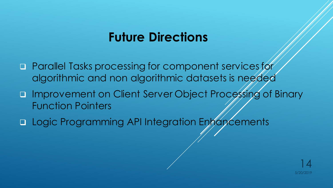## **Future Directions**

- ❑ Parallel Tasks processing for component services for algorithmic and non algorithmic datasets is needed
- □ Improvement on Client Server Object Processing of Binary Function Pointers
- □ Logic Programming API Integration Enhancements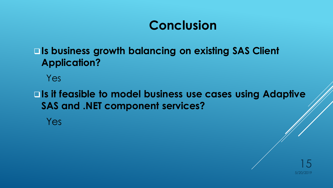# **Conclusion**

#### ❑**Is business growth balancing on existing SAS Client Application?**

Yes

❑**Is it feasible to model business use cases using Adaptive SAS and .NET component services?**

Yes